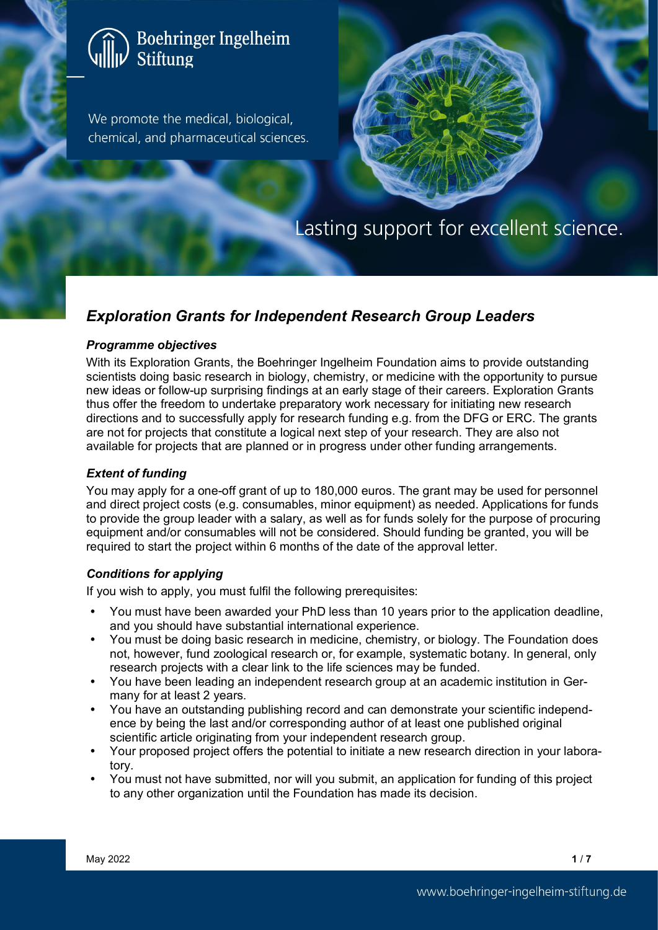# Boehringer Ingelheim<br>Stiftung

We promote the medical, biological, chemical, and pharmaceutical sciences.



# Lasting support for excellent science.

# *Exploration Grants for Independent Research Group Leaders*

#### *Programme objectives*

With its Exploration Grants, the Boehringer Ingelheim Foundation aims to provide outstanding scientists doing basic research in biology, chemistry, or medicine with the opportunity to pursue new ideas or follow-up surprising findings at an early stage of their careers. Exploration Grants thus offer the freedom to undertake preparatory work necessary for initiating new research directions and to successfully apply for research funding e.g. from the DFG or ERC. The grants are not for projects that constitute a logical next step of your research. They are also not available for projects that are planned or in progress under other funding arrangements.

#### *Extent of funding*

You may apply for a one-off grant of up to 180,000 euros. The grant may be used for personnel and direct project costs (e.g. consumables, minor equipment) as needed. Applications for funds to provide the group leader with a salary, as well as for funds solely for the purpose of procuring equipment and/or consumables will not be considered. Should funding be granted, you will be required to start the project within 6 months of the date of the approval letter.

#### *Conditions for applying*

If you wish to apply, you must fulfil the following prerequisites:

- You must have been awarded your PhD less than 10 years prior to the application deadline, and you should have substantial international experience.
- You must be doing basic research in medicine, chemistry, or biology. The Foundation does not, however, fund zoological research or, for example, systematic botany. In general, only research projects with a clear link to the life sciences may be funded.
- You have been leading an independent research group at an academic institution in Germany for at least 2 years.
- You have an outstanding publishing record and can demonstrate your scientific independence by being the last and/or corresponding author of at least one published original scientific article originating from your independent research group.
- Your proposed project offers the potential to initiate a new research direction in your laboratory.
- You must not have submitted, nor will you submit, an application for funding of this project to any other organization until the Foundation has made its decision.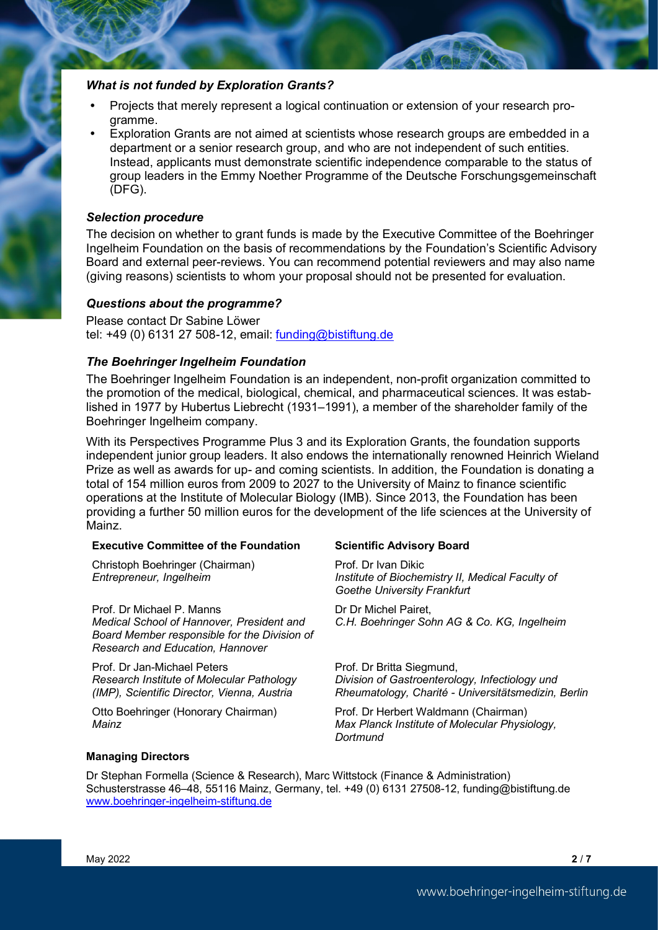#### *What is not funded by Exploration Grants?*

- Projects that merely represent a logical continuation or extension of your research programme.
- Exploration Grants are not aimed at scientists whose research groups are embedded in a department or a senior research group, and who are not independent of such entities. Instead, applicants must demonstrate scientific independence comparable to the status of group leaders in the Emmy Noether Programme of the Deutsche Forschungsgemeinschaft (DFG).

#### *Selection procedure*

The decision on whether to grant funds is made by the Executive Committee of the Boehringer Ingelheim Foundation on the basis of recommendations by the Foundation's Scientific Advisory Board and external peer-reviews. You can recommend potential reviewers and may also name (giving reasons) scientists to whom your proposal should not be presented for evaluation.

#### *Questions about the programme?*

Please contact Dr Sabine Löwer tel: +49 (0) 6131 27 508-12, email: [funding@bistiftung.de](mailto:funding@bistiftung.de)

#### *The Boehringer Ingelheim Foundation*

The Boehringer Ingelheim Foundation is an independent, non-profit organization committed to the promotion of the medical, biological, chemical, and pharmaceutical sciences. It was established in 1977 by Hubertus Liebrecht (1931–1991), a member of the shareholder family of the Boehringer Ingelheim company.

With its Perspectives Programme Plus 3 and its Exploration Grants, the foundation supports independent junior group leaders. It also endows the internationally renowned Heinrich Wieland Prize as well as awards for up- and coming scientists. In addition, the Foundation is donating a total of 154 million euros from 2009 to 2027 to the University of Mainz to finance scientific operations at the Institute of Molecular Biology (IMB). Since 2013, the Foundation has been providing a further 50 million euros for the development of the life sciences at the University of Mainz.

#### **Executive Committee of the Foundation Scientific Advisory Board**

Christoph Boehringer (Chairman) *Entrepreneur, Ingelheim*

Prof. Dr Michael P. Manns *Medical School of Hannover, President and Board Member responsible for the Division of Research and Education, Hannover*

Prof. Dr Jan-Michael Peters *Research Institute of Molecular Pathology (IMP), Scientific Director, Vienna, Austria*

Otto Boehringer (Honorary Chairman) *Mainz*

Prof. Dr Ivan Dikic *Institute of Biochemistry II, Medical Faculty of Goethe University Frankfurt*

Dr Dr Michel Pairet, *C.H. Boehringer Sohn AG & Co. KG, Ingelheim*

Prof. Dr Britta Siegmund, *Division of Gastroenterology, Infectiology und Rheumatology, Charité - Universitätsmedizin, Berlin*

Prof. Dr Herbert Waldmann (Chairman) *Max Planck Institute of Molecular Physiology, Dortmund*

#### **Managing Directors**

Dr Stephan Formella (Science & Research), Marc Wittstock (Finance & Administration) Schusterstrasse 46–48, 55116 Mainz, Germany, tel. +49 (0) 6131 27508-12, funding@bistiftung.de [www.boehringer-ingelheim-stiftung.de](http://www.boehringer-ingelheim-stiftung.de/)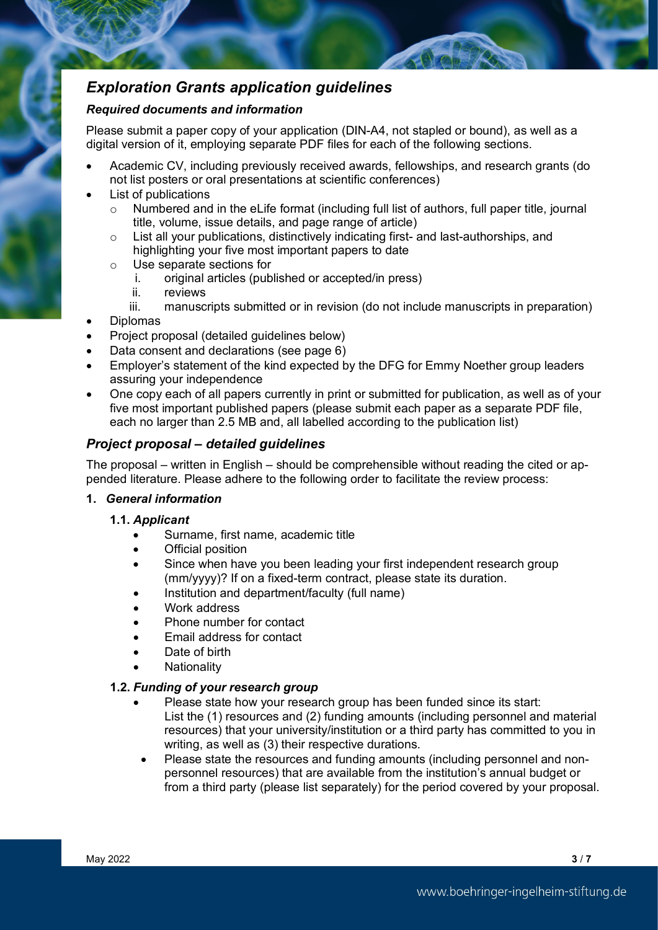# *Exploration Grants application guidelines*

#### *Required documents and information*

Please submit a paper copy of your application (DIN-A4, not stapled or bound), as well as a digital version of it, employing separate PDF files for each of the following sections.

- Academic CV, including previously received awards, fellowships, and research grants (do not list posters or oral presentations at scientific conferences)
- List of publications
	- o Numbered and in the eLife format (including full list of authors, full paper title, journal title, volume, issue details, and page range of article)
	- o List all your publications, distinctively indicating first- and last-authorships, and highlighting your five most important papers to date
	- o Use separate sections for
		- original articles (published or accepted/in press)
		- ii. reviews
		- iii. manuscripts submitted or in revision (do not include manuscripts in preparation)
- Diplomas
- Project proposal (detailed guidelines below)
- Data consent and declarations (see page 6)
- Employer's statement of the kind expected by the DFG for Emmy Noether group leaders assuring your independence
- One copy each of all papers currently in print or submitted for publication, as well as of your five most important published papers (please submit each paper as a separate PDF file, each no larger than 2.5 MB and, all labelled according to the publication list)

#### *Project proposal – detailed guidelines*

The proposal – written in English – should be comprehensible without reading the cited or appended literature. Please adhere to the following order to facilitate the review process:

#### **1.** *General information*

- **1.1.** *Applicant*
	- Surname, first name, academic title
	- **Official position**
	- Since when have you been leading your first independent research group (mm/yyyy)? If on a fixed-term contract, please state its duration.
	- Institution and department/faculty (full name)
	- Work address
	- Phone number for contact
	- Email address for contact
	- Date of birth
	- **Nationality**

#### **1.2.** *Funding of your research group*

- Please state how your research group has been funded since its start: List the (1) resources and (2) funding amounts (including personnel and material resources) that your university/institution or a third party has committed to you in writing, as well as (3) their respective durations.
- Please state the resources and funding amounts (including personnel and nonpersonnel resources) that are available from the institution's annual budget or from a third party (please list separately) for the period covered by your proposal.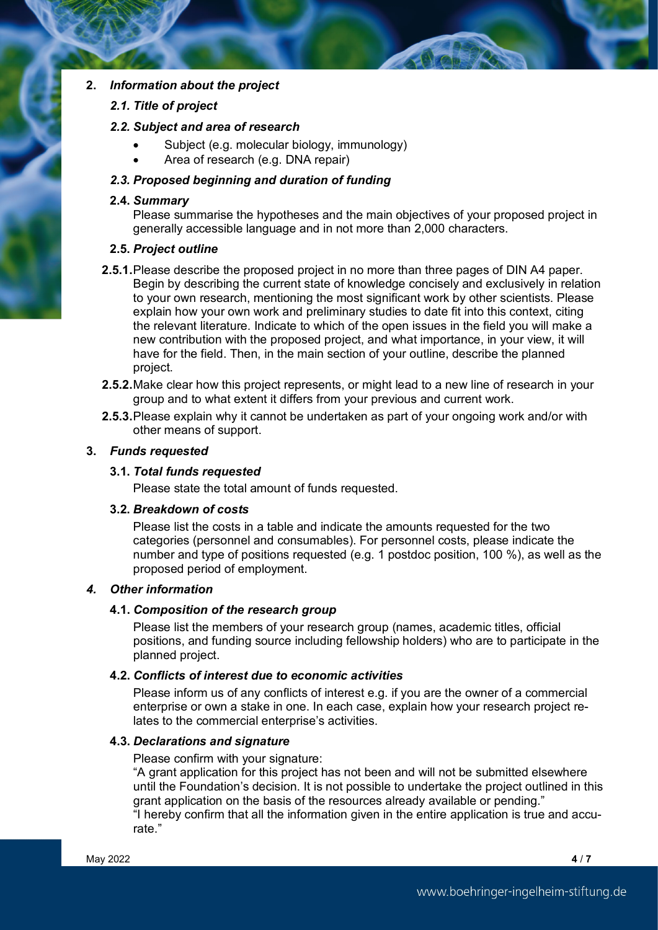#### **2.** *Information about the project*

#### *2.1. Title of project*

#### *2.2. Subject and area of research*

- Subject (e.g. molecular biology, immunology)
- Area of research (e.g. DNA repair)

#### *2.3. Proposed beginning and duration of funding*

#### **2.4.** *Summary*

Please summarise the hypotheses and the main objectives of your proposed project in generally accessible language and in not more than 2,000 characters.

#### **2.5.** *Project outline*

- **2.5.1.**Please describe the proposed project in no more than three pages of DIN A4 paper. Begin by describing the current state of knowledge concisely and exclusively in relation to your own research, mentioning the most significant work by other scientists. Please explain how your own work and preliminary studies to date fit into this context, citing the relevant literature. Indicate to which of the open issues in the field you will make a new contribution with the proposed project, and what importance, in your view, it will have for the field. Then, in the main section of your outline, describe the planned project.
- **2.5.2.**Make clear how this project represents, or might lead to a new line of research in your group and to what extent it differs from your previous and current work.
- **2.5.3.**Please explain why it cannot be undertaken as part of your ongoing work and/or with other means of support.

#### **3.** *Funds requested*

#### **3.1.** *Total funds requested*

Please state the total amount of funds requested.

#### **3.2.** *Breakdown of costs*

Please list the costs in a table and indicate the amounts requested for the two categories (personnel and consumables). For personnel costs, please indicate the number and type of positions requested (e.g. 1 postdoc position, 100 %), as well as the proposed period of employment.

#### *4. Other information*

#### **4.1.** *Composition of the research group*

Please list the members of your research group (names, academic titles, official positions, and funding source including fellowship holders) who are to participate in the planned project.

#### **4.2.** *Conflicts of interest due to economic activities*

Please inform us of any conflicts of interest e.g. if you are the owner of a commercial enterprise or own a stake in one. In each case, explain how your research project relates to the commercial enterprise's activities.

#### **4.3.** *Declarations and signature*

Please confirm with your signature:

"A grant application for this project has not been and will not be submitted elsewhere until the Foundation's decision. It is not possible to undertake the project outlined in this grant application on the basis of the resources already available or pending." "I hereby confirm that all the information given in the entire application is true and accurate."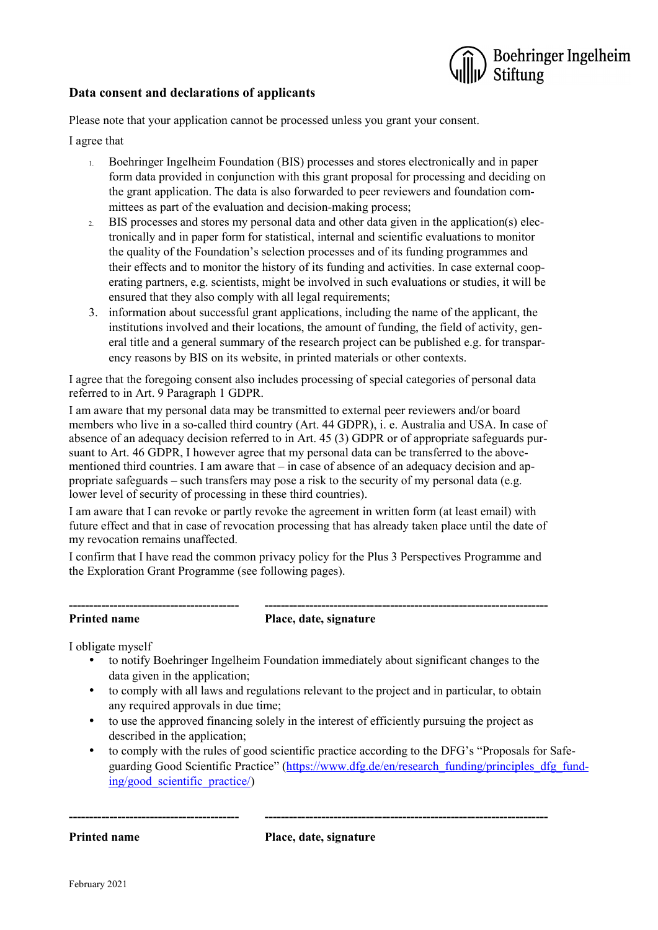

#### **Data consent and declarations of applicants**

Please note that your application cannot be processed unless you grant your consent.

I agree that

- 1. Boehringer Ingelheim Foundation (BIS) processes and stores electronically and in paper form data provided in conjunction with this grant proposal for processing and deciding on the grant application. The data is also forwarded to peer reviewers and foundation committees as part of the evaluation and decision-making process;
- 2. BIS processes and stores my personal data and other data given in the application(s) electronically and in paper form for statistical, internal and scientific evaluations to monitor the quality of the Foundation's selection processes and of its funding programmes and their effects and to monitor the history of its funding and activities. In case external cooperating partners, e.g. scientists, might be involved in such evaluations or studies, it will be ensured that they also comply with all legal requirements;
- 3. information about successful grant applications, including the name of the applicant, the institutions involved and their locations, the amount of funding, the field of activity, general title and a general summary of the research project can be published e.g. for transparency reasons by BIS on its website, in printed materials or other contexts.

I agree that the foregoing consent also includes processing of special categories of personal data referred to in Art. 9 Paragraph 1 GDPR.

I am aware that my personal data may be transmitted to external peer reviewers and/or board members who live in a so-called third country (Art. 44 GDPR), i. e. Australia and USA. In case of absence of an adequacy decision referred to in Art. 45 (3) GDPR or of appropriate safeguards pursuant to Art. 46 GDPR, I however agree that my personal data can be transferred to the abovementioned third countries. I am aware that  $-$  in case of absence of an adequacy decision and appropriate safeguards – such transfers may pose a risk to the security of my personal data (e.g. lower level of security of processing in these third countries).

I am aware that I can revoke or partly revoke the agreement in written form (at least email) with future effect and that in case of revocation processing that has already taken place until the date of my revocation remains unaffected.

I confirm that I have read the common privacy policy for the Plus 3 Perspectives Programme and the Exploration Grant Programme (see following pages).

# **------------------------------------------ ----------------------------------------------------------------------**

**Printed name Place, date, signature** 

I obligate myself

- to notify Boehringer Ingelheim Foundation immediately about significant changes to the data given in the application;
- to comply with all laws and regulations relevant to the project and in particular, to obtain any required approvals in due time;
- to use the approved financing solely in the interest of efficiently pursuing the project as described in the application;
- to comply with the rules of good scientific practice according to the DFG's "Proposals for Safe-guarding Good Scientific Practice" [\(https://www.dfg.de/en/research\\_funding/principles\\_dfg\\_fund](https://www.dfg.de/en/research_funding/principles_dfg_funding/good_scientific_practice/)[ing/good\\_scientific\\_practice/\)](https://www.dfg.de/en/research_funding/principles_dfg_funding/good_scientific_practice/)

**Printed name Place, date, signature**

**------------------------------------------ ----------------------------------------------------------------------**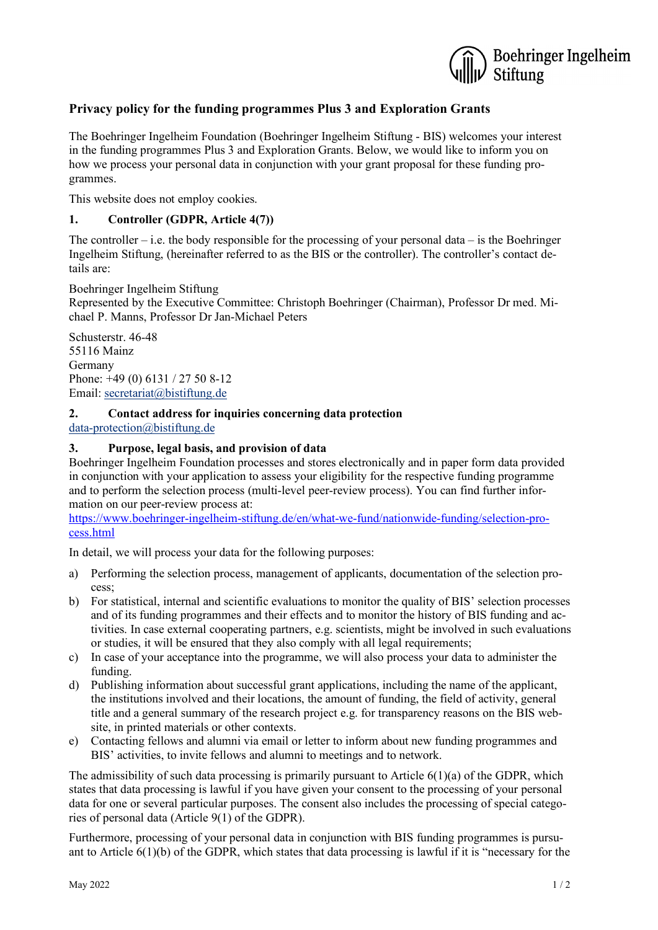

### **Privacy policy for the funding programmes Plus 3 and Exploration Grants**

The Boehringer Ingelheim Foundation (Boehringer Ingelheim Stiftung - BIS) welcomes your interest in the funding programmes Plus 3 and Exploration Grants. Below, we would like to inform you on how we process your personal data in conjunction with your grant proposal for these funding programmes.

This website does not employ cookies.

#### **1. Controller (GDPR, Article 4(7))**

The controller – i.e. the body responsible for the processing of your personal data – is the Boehringer Ingelheim Stiftung, (hereinafter referred to as the BIS or the controller). The controller's contact details are:

Boehringer Ingelheim Stiftung Represented by the Executive Committee: Christoph Boehringer (Chairman), Professor Dr med. Michael P. Manns, Professor Dr Jan-Michael Peters

Schusterstr. 46-48 55116 Mainz Germany Phone: +49 (0) 6131 / 27 50 8-12 Email: [secretariat@bistiftung.de](mailto:secretariat@bistiftung.de)

#### **2. Contact address for inquiries concerning data protection** [data-protection@bistiftung.de](mailto:data-protection@bistiftung.de)

#### **3. Purpose, legal basis, and provision of data**

Boehringer Ingelheim Foundation processes and stores electronically and in paper form data provided in conjunction with your application to assess your eligibility for the respective funding programme and to perform the selection process (multi-level peer-review process). You can find further information on our peer-review process at:

https://www.boehringer-ingelheim-stiftung.de/en/what-we-fund/nationwide-funding/selection-process.html

In detail, we will process your data for the following purposes:

- a) Performing the selection process, management of applicants, documentation of the selection process;
- b) For statistical, internal and scientific evaluations to monitor the quality of BIS' selection processes and of its funding programmes and their effects and to monitor the history of BIS funding and activities. In case external cooperating partners, e.g. scientists, might be involved in such evaluations or studies, it will be ensured that they also comply with all legal requirements;
- c) In case of your acceptance into the programme, we will also process your data to administer the funding.
- d) Publishing information about successful grant applications, including the name of the applicant, the institutions involved and their locations, the amount of funding, the field of activity, general title and a general summary of the research project e.g. for transparency reasons on the BIS website, in printed materials or other contexts.
- e) Contacting fellows and alumni via email or letter to inform about new funding programmes and BIS' activities, to invite fellows and alumni to meetings and to network.

The admissibility of such data processing is primarily pursuant to Article  $6(1)(a)$  of the GDPR, which states that data processing is lawful if you have given your consent to the processing of your personal data for one or several particular purposes. The consent also includes the processing of special categories of personal data (Article 9(1) of the GDPR).

Furthermore, processing of your personal data in conjunction with BIS funding programmes is pursuant to Article  $6(1)(b)$  of the GDPR, which states that data processing is lawful if it is "necessary for the